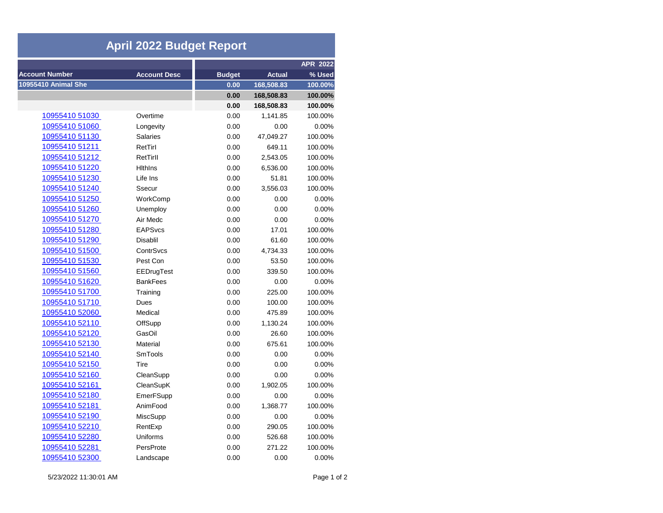| <b>April 2022 Budget Report</b> |                     |               |               |                 |  |  |  |
|---------------------------------|---------------------|---------------|---------------|-----------------|--|--|--|
|                                 |                     |               |               | <b>APR 2022</b> |  |  |  |
| <b>Account Number</b>           | <b>Account Desc</b> | <b>Budget</b> | <b>Actual</b> | % Used          |  |  |  |
| 10955410 Animal She             |                     | 0.00          | 168,508.83    | 100.00%         |  |  |  |
|                                 |                     | 0.00          | 168,508.83    | 100.00%         |  |  |  |
|                                 |                     | 0.00          | 168,508.83    | 100.00%         |  |  |  |
| 10955410 51030                  | Overtime            | 0.00          | 1,141.85      | 100.00%         |  |  |  |
| 10955410 51060                  | Longevity           | 0.00          | 0.00          | 0.00%           |  |  |  |
| 10955410 51130                  | <b>Salaries</b>     | 0.00          | 47,049.27     | 100.00%         |  |  |  |
| 10955410 51211                  | RetTirl             | 0.00          | 649.11        | 100.00%         |  |  |  |
| 10955410 51212                  | RetTirll            | 0.00          | 2,543.05      | 100.00%         |  |  |  |
| 10955410 51220                  | <b>Hithins</b>      | 0.00          | 6,536.00      | 100.00%         |  |  |  |
| 10955410 51230                  | Life Ins            | 0.00          | 51.81         | 100.00%         |  |  |  |
| 10955410 51240                  | Ssecur              | 0.00          | 3,556.03      | 100.00%         |  |  |  |
| 10955410 51250                  | WorkComp            | 0.00          | 0.00          | 0.00%           |  |  |  |
| 10955410 51260                  | Unemploy            | 0.00          | 0.00          | 0.00%           |  |  |  |
| 10955410 51270                  | Air Medc            | 0.00          | 0.00          | 0.00%           |  |  |  |
| <u>10955410 51280</u>           | <b>EAPSvcs</b>      | 0.00          | 17.01         | 100.00%         |  |  |  |
| 10955410 51290                  | <b>Disablil</b>     | 0.00          | 61.60         | 100.00%         |  |  |  |
| 10955410 51500                  | ContrSvcs           | 0.00          | 4,734.33      | 100.00%         |  |  |  |
| 10955410 51530                  | Pest Con            | 0.00          | 53.50         | 100.00%         |  |  |  |
| 10955410 51560                  | EEDrugTest          | 0.00          | 339.50        | 100.00%         |  |  |  |
| 10955410 51620                  | <b>BankFees</b>     | 0.00          | 0.00          | 0.00%           |  |  |  |
| 10955410 51700                  | Training            | 0.00          | 225.00        | 100.00%         |  |  |  |
| 10955410 51710                  | Dues                | 0.00          | 100.00        | 100.00%         |  |  |  |
| 10955410 52060                  | Medical             | 0.00          | 475.89        | 100.00%         |  |  |  |
| 10955410 52110                  | OffSupp             | 0.00          | 1,130.24      | 100.00%         |  |  |  |
| 10955410 52120                  | GasOil              | 0.00          | 26.60         | 100.00%         |  |  |  |
| 10955410 52130                  | Material            | 0.00          | 675.61        | 100.00%         |  |  |  |
| 10955410 52140                  | SmTools             | 0.00          | 0.00          | 0.00%           |  |  |  |
| 10955410 52150                  | Tire                | 0.00          | 0.00          | 0.00%           |  |  |  |
| 10955410 52160                  | CleanSupp           | 0.00          | 0.00          | 0.00%           |  |  |  |
| 10955410 52161                  | CleanSupK           | 0.00          | 1,902.05      | 100.00%         |  |  |  |
| 10955410 52180                  | EmerFSupp           | 0.00          | 0.00          | 0.00%           |  |  |  |
| 10955410 52181                  | AnimFood            | 0.00          | 1,368.77      | 100.00%         |  |  |  |
| 10955410 52190                  | <b>MiscSupp</b>     | 0.00          | 0.00          | 0.00%           |  |  |  |
| 10955410 52210                  | RentExp             | 0.00          | 290.05        | 100.00%         |  |  |  |
| 10955410 52280                  | Uniforms            | 0.00          | 526.68        | 100.00%         |  |  |  |
| 10955410 52281                  | PersProte           | 0.00          | 271.22        | 100.00%         |  |  |  |
| 10955410 52300                  | Landscape           | 0.00          | 0.00          | 0.00%           |  |  |  |